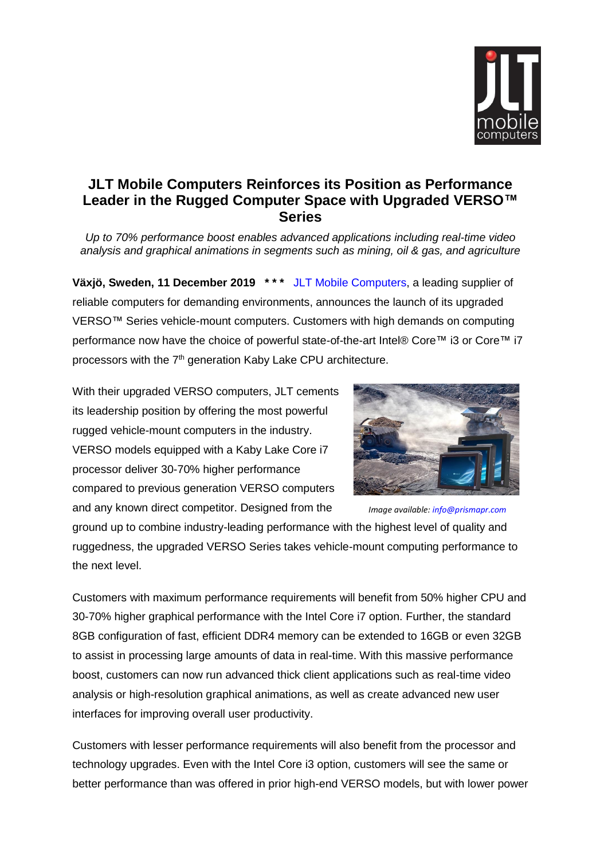

## **JLT Mobile Computers Reinforces its Position as Performance Leader in the Rugged Computer Space with Upgraded VERSO™ Series**

*Up to 70% performance boost enables advanced applications including real-time video analysis and graphical animations in segments such as mining, oil & gas, and agriculture*

**Växjö, Sweden, 11 December 2019 \* \* \*** [JLT Mobile Computers,](https://www.jltmobile.com/) a leading supplier of reliable computers for demanding environments, announces the launch of its upgraded VERSO™ Series vehicle-mount computers. Customers with high demands on computing performance now have the choice of powerful state-of-the-art Intel® Core™ i3 or Core™ i7 processors with the 7<sup>th</sup> generation Kaby Lake CPU architecture.

With their upgraded VERSO computers, JLT cements its leadership position by offering the most powerful rugged vehicle-mount computers in the industry. VERSO models equipped with a Kaby Lake Core i7 processor deliver 30-70% higher performance compared to previous generation VERSO computers and any known direct competitor. Designed from the



*Image available[: info@prismapr.com](mailto:info@prismapr.com)*

ground up to combine industry-leading performance with the highest level of quality and ruggedness, the upgraded VERSO Series takes vehicle-mount computing performance to the next level.

Customers with maximum performance requirements will benefit from 50% higher CPU and 30-70% higher graphical performance with the Intel Core i7 option. Further, the standard 8GB configuration of fast, efficient DDR4 memory can be extended to 16GB or even 32GB to assist in processing large amounts of data in real-time. With this massive performance boost, customers can now run advanced thick client applications such as real-time video analysis or high-resolution graphical animations, as well as create advanced new user interfaces for improving overall user productivity.

Customers with lesser performance requirements will also benefit from the processor and technology upgrades. Even with the Intel Core i3 option, customers will see the same or better performance than was offered in prior high-end VERSO models, but with lower power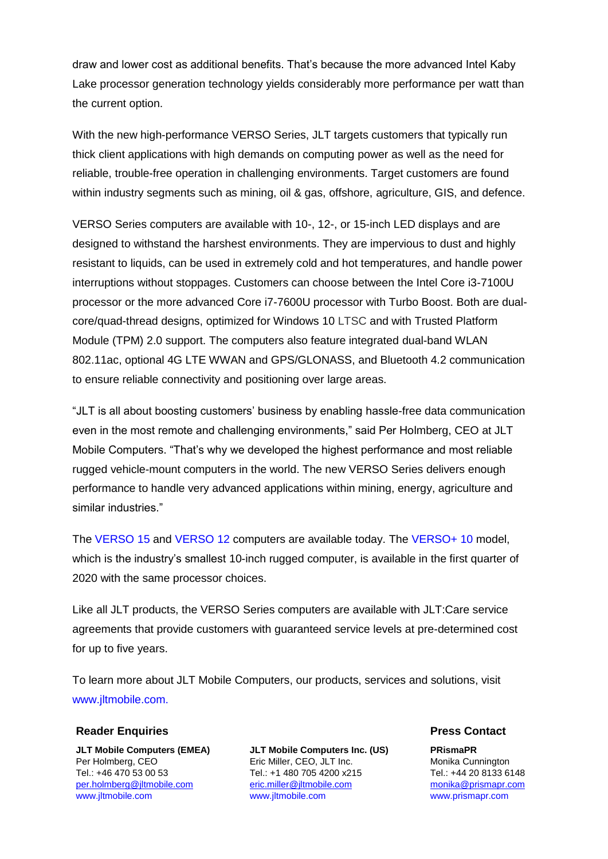draw and lower cost as additional benefits. That's because the more advanced Intel Kaby Lake processor generation technology yields considerably more performance per watt than the current option.

With the new high-performance VERSO Series, JLT targets customers that typically run thick client applications with high demands on computing power as well as the need for reliable, trouble-free operation in challenging environments. Target customers are found within industry segments such as mining, oil & gas, offshore, agriculture, GIS, and defence.

VERSO Series computers are available with 10-, 12-, or 15-inch LED displays and are designed to withstand the harshest environments. They are impervious to dust and highly resistant to liquids, can be used in extremely cold and hot temperatures, and handle power interruptions without stoppages. Customers can choose between the Intel Core i3-7100U processor or the more advanced Core i7-7600U processor with Turbo Boost. Both are dualcore/quad-thread designs, optimized for Windows 10 LTSC and with Trusted Platform Module (TPM) 2.0 support. The computers also feature integrated dual-band WLAN 802.11ac, optional 4G LTE WWAN and GPS/GLONASS, and Bluetooth 4.2 communication to ensure reliable connectivity and positioning over large areas.

"JLT is all about boosting customers' business by enabling hassle-free data communication even in the most remote and challenging environments," said Per Holmberg, CEO at JLT Mobile Computers. "That's why we developed the highest performance and most reliable rugged vehicle-mount computers in the world. The new VERSO Series delivers enough performance to handle very advanced applications within mining, energy, agriculture and similar industries."

The [VERSO 15](https://www.jltmobile.com/products/verso-15-rugged-computer) and [VERSO 12](https://www.jltmobile.com/products/verso-12-rugged-computer) computers are available today. The [VERSO+ 10](https://www.jltmobile.com/products/verso-10-rugged-computer) model, which is the industry's smallest 10-inch rugged computer, is available in the first quarter of 2020 with the same processor choices.

Like all JLT products, the VERSO Series computers are available with JLT:Care service agreements that provide customers with guaranteed service levels at pre-determined cost for up to five years.

To learn more about JLT Mobile Computers, our products, services and solutions, visit [www.jltmobile.com.](https://www.jltmobile.com/)

## **Reader Enquiries Press Contact**

**JLT Mobile Computers (EMEA) JLT Mobile Computers Inc. (US) PRismaPR**  Per Holmberg, CEO **Eric Miller, CEO, JLT Inc.** Monika Cunnington Tel.: +46 470 53 00 53 Tel.: +1 480 705 4200 x215 Tel.: +44 20 8133 6148 [per.holmberg@jltmobile.com](mailto:per.holmberg@jltmobile.com) [www.jltmobile.com](https://www.jltmobile.com/)

[eric.miller@jltmobile.com](mailto:eric.miller@jltmobile.com) [www.jltmobile.com](https://www.jltmobile.com/)

[monika@prismapr.com](mailto:monika@prismapr.com) [www.prismapr.com](http://www.prismapr.com/)